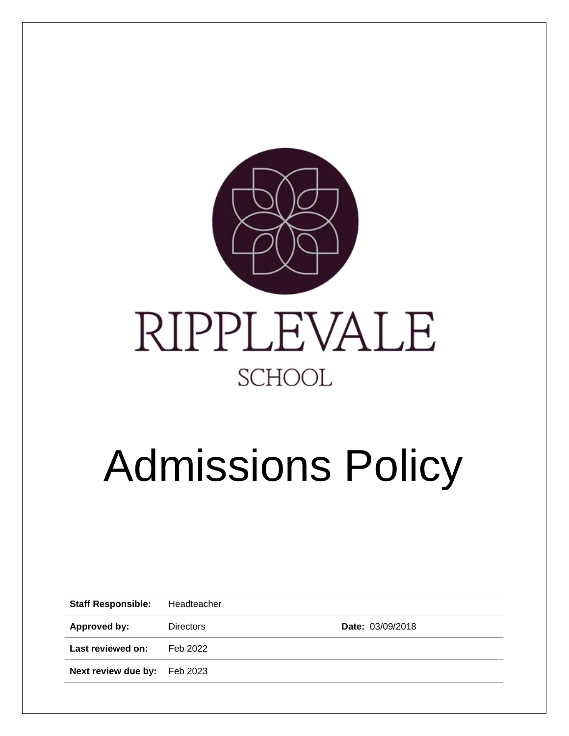

# Admissions Policy

| <b>Staff Responsible:</b>    | Headteacher      |                         |
|------------------------------|------------------|-------------------------|
| Approved by:                 | <b>Directors</b> | <b>Date: 03/09/2018</b> |
| Last reviewed on:            | Feb 2022         |                         |
| Next review due by: Feb 2023 |                  |                         |
|                              |                  |                         |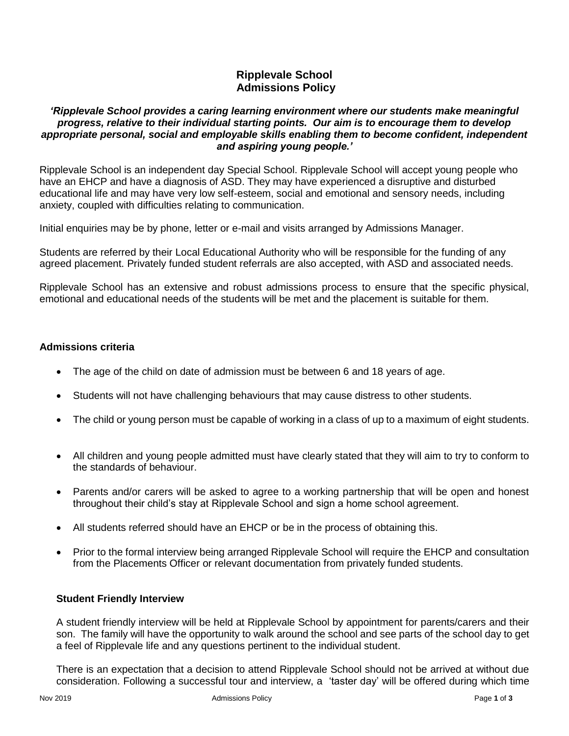## **Ripplevale School Admissions Policy**

#### *'Ripplevale School provides a caring learning environment where our students make meaningful progress, relative to their individual starting points. Our aim is to encourage them to develop appropriate personal, social and employable skills enabling them to become confident, independent and aspiring young people.'*

Ripplevale School is an independent day Special School. Ripplevale School will accept young people who have an EHCP and have a diagnosis of ASD. They may have experienced a disruptive and disturbed educational life and may have very low self-esteem, social and emotional and sensory needs, including anxiety, coupled with difficulties relating to communication.

Initial enquiries may be by phone, letter or e-mail and visits arranged by Admissions Manager.

Students are referred by their Local Educational Authority who will be responsible for the funding of any agreed placement. Privately funded student referrals are also accepted, with ASD and associated needs.

Ripplevale School has an extensive and robust admissions process to ensure that the specific physical, emotional and educational needs of the students will be met and the placement is suitable for them.

## **Admissions criteria**

- The age of the child on date of admission must be between 6 and 18 years of age.
- Students will not have challenging behaviours that may cause distress to other students.
- The child or young person must be capable of working in a class of up to a maximum of eight students.
- All children and young people admitted must have clearly stated that they will aim to try to conform to the standards of behaviour.
- Parents and/or carers will be asked to agree to a working partnership that will be open and honest throughout their child's stay at Ripplevale School and sign a home school agreement.
- All students referred should have an EHCP or be in the process of obtaining this.
- Prior to the formal interview being arranged Ripplevale School will require the EHCP and consultation from the Placements Officer or relevant documentation from privately funded students.

#### **Student Friendly Interview**

A student friendly interview will be held at Ripplevale School by appointment for parents/carers and their son. The family will have the opportunity to walk around the school and see parts of the school day to get a feel of Ripplevale life and any questions pertinent to the individual student.

There is an expectation that a decision to attend Ripplevale School should not be arrived at without due consideration. Following a successful tour and interview, a 'taster day' will be offered during which time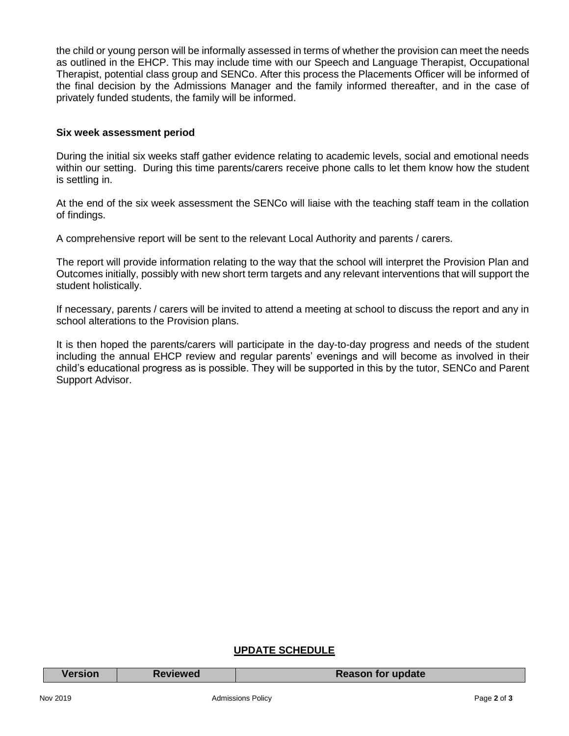the child or young person will be informally assessed in terms of whether the provision can meet the needs as outlined in the EHCP. This may include time with our Speech and Language Therapist, Occupational Therapist, potential class group and SENCo. After this process the Placements Officer will be informed of the final decision by the Admissions Manager and the family informed thereafter, and in the case of privately funded students, the family will be informed.

#### **Six week assessment period**

During the initial six weeks staff gather evidence relating to academic levels, social and emotional needs within our setting. During this time parents/carers receive phone calls to let them know how the student is settling in.

At the end of the six week assessment the SENCo will liaise with the teaching staff team in the collation of findings.

A comprehensive report will be sent to the relevant Local Authority and parents / carers.

The report will provide information relating to the way that the school will interpret the Provision Plan and Outcomes initially, possibly with new short term targets and any relevant interventions that will support the student holistically.

If necessary, parents / carers will be invited to attend a meeting at school to discuss the report and any in school alterations to the Provision plans.

It is then hoped the parents/carers will participate in the day-to-day progress and needs of the student including the annual EHCP review and regular parents' evenings and will become as involved in their child's educational progress as is possible. They will be supported in this by the tutor, SENCo and Parent Support Advisor.

## **UPDATE SCHEDULE**